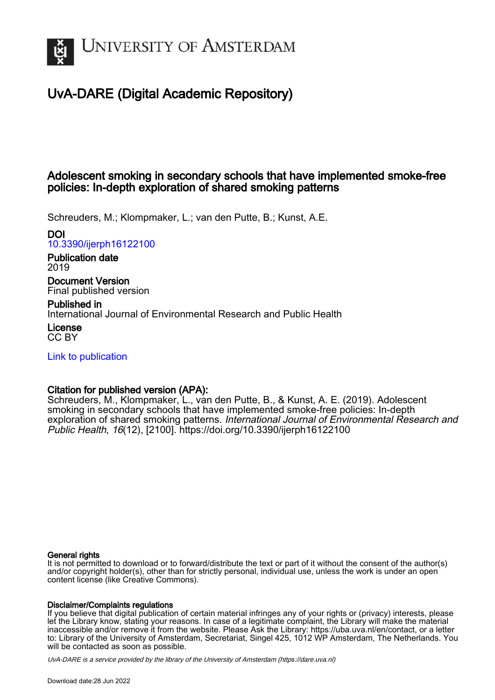

# UvA-DARE (Digital Academic Repository)

# Adolescent smoking in secondary schools that have implemented smoke-free policies: In-depth exploration of shared smoking patterns

Schreuders, M.; Klompmaker, L.; van den Putte, B.; Kunst, A.E.

# DOI

[10.3390/ijerph16122100](https://doi.org/10.3390/ijerph16122100)

Publication date 2019

Document Version Final published version

Published in International Journal of Environmental Research and Public Health

License CC BY

[Link to publication](https://dare.uva.nl/personal/pure/en/publications/adolescent-smoking-in-secondary-schools-that-have-implemented-smokefree-policies-indepth-exploration-of-shared-smoking-patterns(4711abf4-a6cd-40e7-9727-63dc4f1020b8).html)

# Citation for published version (APA):

Schreuders, M., Klompmaker, L., van den Putte, B., & Kunst, A. E. (2019). Adolescent smoking in secondary schools that have implemented smoke-free policies: In-depth exploration of shared smoking patterns. International Journal of Environmental Research and Public Health, 16(12), [2100]. <https://doi.org/10.3390/ijerph16122100>

# General rights

It is not permitted to download or to forward/distribute the text or part of it without the consent of the author(s) and/or copyright holder(s), other than for strictly personal, individual use, unless the work is under an open content license (like Creative Commons).

# Disclaimer/Complaints regulations

If you believe that digital publication of certain material infringes any of your rights or (privacy) interests, please let the Library know, stating your reasons. In case of a legitimate complaint, the Library will make the material inaccessible and/or remove it from the website. Please Ask the Library: https://uba.uva.nl/en/contact, or a letter to: Library of the University of Amsterdam, Secretariat, Singel 425, 1012 WP Amsterdam, The Netherlands. You will be contacted as soon as possible.

UvA-DARE is a service provided by the library of the University of Amsterdam (http*s*://dare.uva.nl)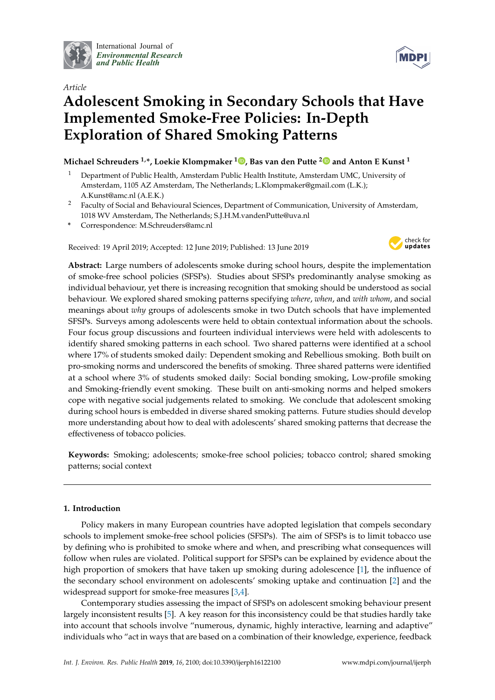

International Journal of *[Environmental Research](http://www.mdpi.com/journal/ijerph) and Public Health*



# **Adolescent Smoking in Secondary Schools that Have Implemented Smoke-Free Policies: In-Depth Exploration of Shared Smoking Patterns**

# **Michael Schreuders 1,\*, Loekie Klompmaker <sup>1</sup> [,](https://orcid.org/0000-0003-0327-4683) Bas van den Putte [2](https://orcid.org/0000-0002-3635-6880) and Anton E Kunst <sup>1</sup>**

- <sup>1</sup> Department of Public Health, Amsterdam Public Health Institute, Amsterdam UMC, University of Amsterdam, 1105 AZ Amsterdam, The Netherlands; L.Klompmaker@gmail.com (L.K.); A.Kunst@amc.nl (A.E.K.)
- <sup>2</sup> Faculty of Social and Behavioural Sciences, Department of Communication, University of Amsterdam, 1018 WV Amsterdam, The Netherlands; S.J.H.M.vandenPutte@uva.nl
- **\*** Correspondence: M.Schreuders@amc.nl

Received: 19 April 2019; Accepted: 12 June 2019; Published: 13 June 2019



**Abstract:** Large numbers of adolescents smoke during school hours, despite the implementation of smoke-free school policies (SFSPs). Studies about SFSPs predominantly analyse smoking as individual behaviour, yet there is increasing recognition that smoking should be understood as social behaviour. We explored shared smoking patterns specifying *where*, *when*, and *with whom*, and social meanings about *why* groups of adolescents smoke in two Dutch schools that have implemented SFSPs. Surveys among adolescents were held to obtain contextual information about the schools. Four focus group discussions and fourteen individual interviews were held with adolescents to identify shared smoking patterns in each school. Two shared patterns were identified at a school where 17% of students smoked daily: Dependent smoking and Rebellious smoking. Both built on pro-smoking norms and underscored the benefits of smoking. Three shared patterns were identified at a school where 3% of students smoked daily: Social bonding smoking, Low-profile smoking and Smoking-friendly event smoking. These built on anti-smoking norms and helped smokers cope with negative social judgements related to smoking. We conclude that adolescent smoking during school hours is embedded in diverse shared smoking patterns. Future studies should develop more understanding about how to deal with adolescents' shared smoking patterns that decrease the effectiveness of tobacco policies.

**Keywords:** Smoking; adolescents; smoke-free school policies; tobacco control; shared smoking patterns; social context

# **1. Introduction**

Policy makers in many European countries have adopted legislation that compels secondary schools to implement smoke-free school policies (SFSPs). The aim of SFSPs is to limit tobacco use by defining who is prohibited to smoke where and when, and prescribing what consequences will follow when rules are violated. Political support for SFSPs can be explained by evidence about the high proportion of smokers that have taken up smoking during adolescence [\[1\]](#page-11-0), the influence of the secondary school environment on adolescents' smoking uptake and continuation [\[2\]](#page-11-1) and the widespread support for smoke-free measures [\[3,](#page-11-2)[4\]](#page-11-3).

Contemporary studies assessing the impact of SFSPs on adolescent smoking behaviour present largely inconsistent results [\[5\]](#page-12-0). A key reason for this inconsistency could be that studies hardly take into account that schools involve "numerous, dynamic, highly interactive, learning and adaptive" individuals who "act in ways that are based on a combination of their knowledge, experience, feedback

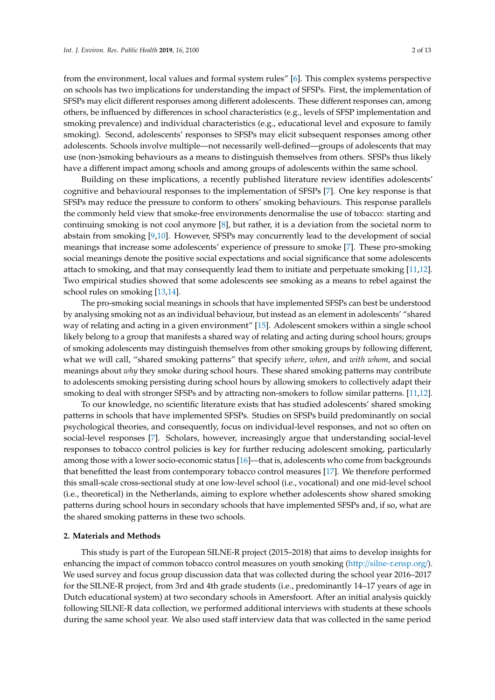from the environment, local values and formal system rules" [\[6\]](#page-12-1). This complex systems perspective on schools has two implications for understanding the impact of SFSPs. First, the implementation of SFSPs may elicit different responses among different adolescents. These different responses can, among others, be influenced by differences in school characteristics (e.g., levels of SFSP implementation and smoking prevalence) and individual characteristics (e.g., educational level and exposure to family smoking). Second, adolescents' responses to SFSPs may elicit subsequent responses among other adolescents. Schools involve multiple—not necessarily well-defined—groups of adolescents that may use (non-)smoking behaviours as a means to distinguish themselves from others. SFSPs thus likely have a different impact among schools and among groups of adolescents within the same school.

Building on these implications, a recently published literature review identifies adolescents' cognitive and behavioural responses to the implementation of SFSPs [\[7\]](#page-12-2). One key response is that SFSPs may reduce the pressure to conform to others' smoking behaviours. This response parallels the commonly held view that smoke-free environments denormalise the use of tobacco: starting and continuing smoking is not cool anymore [\[8\]](#page-12-3), but rather, it is a deviation from the societal norm to abstain from smoking [\[9,](#page-12-4)[10\]](#page-12-5). However, SFSPs may concurrently lead to the development of social meanings that increase some adolescents' experience of pressure to smoke [\[7\]](#page-12-2). These pro-smoking social meanings denote the positive social expectations and social significance that some adolescents attach to smoking, and that may consequently lead them to initiate and perpetuate smoking [\[11,](#page-12-6)[12\]](#page-12-7). Two empirical studies showed that some adolescents see smoking as a means to rebel against the school rules on smoking [\[13,](#page-12-8)[14\]](#page-12-9).

The pro-smoking social meanings in schools that have implemented SFSPs can best be understood by analysing smoking not as an individual behaviour, but instead as an element in adolescents' "shared way of relating and acting in a given environment" [\[15\]](#page-12-10). Adolescent smokers within a single school likely belong to a group that manifests a shared way of relating and acting during school hours; groups of smoking adolescents may distinguish themselves from other smoking groups by following different, what we will call, "shared smoking patterns" that specify *where*, *when*, and *with whom*, and social meanings about *why* they smoke during school hours. These shared smoking patterns may contribute to adolescents smoking persisting during school hours by allowing smokers to collectively adapt their smoking to deal with stronger SFSPs and by attracting non-smokers to follow similar patterns. [\[11](#page-12-6)[,12\]](#page-12-7).

To our knowledge, no scientific literature exists that has studied adolescents' shared smoking patterns in schools that have implemented SFSPs. Studies on SFSPs build predominantly on social psychological theories, and consequently, focus on individual-level responses, and not so often on social-level responses [\[7\]](#page-12-2). Scholars, however, increasingly argue that understanding social-level responses to tobacco control policies is key for further reducing adolescent smoking, particularly among those with a lower socio-economic status [\[16\]](#page-12-11)—that is, adolescents who come from backgrounds that benefitted the least from contemporary tobacco control measures [\[17\]](#page-12-12). We therefore performed this small-scale cross-sectional study at one low-level school (i.e., vocational) and one mid-level school (i.e., theoretical) in the Netherlands, aiming to explore whether adolescents show shared smoking patterns during school hours in secondary schools that have implemented SFSPs and, if so, what are the shared smoking patterns in these two schools.

#### **2. Materials and Methods**

This study is part of the European SILNE-R project (2015–2018) that aims to develop insights for enhancing the impact of common tobacco control measures on youth smoking (http://[silne-r.ensp.org](http://silne-r.ensp.org/)/). We used survey and focus group discussion data that was collected during the school year 2016–2017 for the SILNE-R project, from 3rd and 4th grade students (i.e., predominantly 14–17 years of age in Dutch educational system) at two secondary schools in Amersfoort. After an initial analysis quickly following SILNE-R data collection, we performed additional interviews with students at these schools during the same school year. We also used staff interview data that was collected in the same period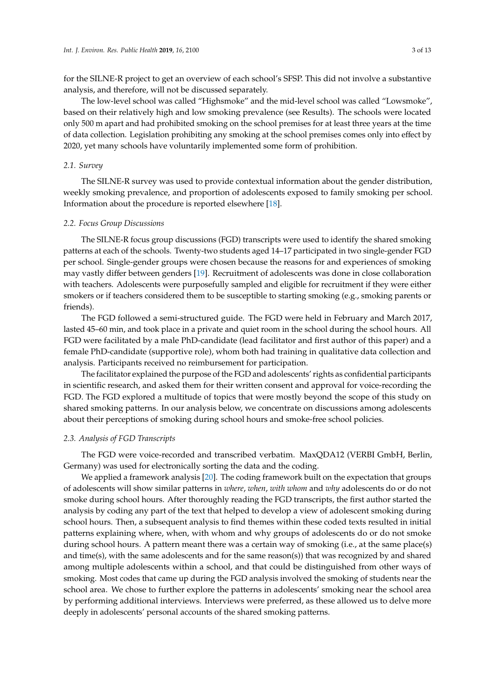for the SILNE-R project to get an overview of each school's SFSP. This did not involve a substantive analysis, and therefore, will not be discussed separately.

The low-level school was called "Highsmoke" and the mid-level school was called "Lowsmoke", based on their relatively high and low smoking prevalence (see Results). The schools were located only 500 m apart and had prohibited smoking on the school premises for at least three years at the time of data collection. Legislation prohibiting any smoking at the school premises comes only into effect by 2020, yet many schools have voluntarily implemented some form of prohibition.

#### *2.1. Survey*

The SILNE-R survey was used to provide contextual information about the gender distribution, weekly smoking prevalence, and proportion of adolescents exposed to family smoking per school. Information about the procedure is reported elsewhere [\[18\]](#page-12-13).

#### *2.2. Focus Group Discussions*

The SILNE-R focus group discussions (FGD) transcripts were used to identify the shared smoking patterns at each of the schools. Twenty-two students aged 14–17 participated in two single-gender FGD per school. Single-gender groups were chosen because the reasons for and experiences of smoking may vastly differ between genders [\[19\]](#page-12-14). Recruitment of adolescents was done in close collaboration with teachers. Adolescents were purposefully sampled and eligible for recruitment if they were either smokers or if teachers considered them to be susceptible to starting smoking (e.g., smoking parents or friends).

The FGD followed a semi-structured guide. The FGD were held in February and March 2017, lasted 45–60 min, and took place in a private and quiet room in the school during the school hours. All FGD were facilitated by a male PhD-candidate (lead facilitator and first author of this paper) and a female PhD-candidate (supportive role), whom both had training in qualitative data collection and analysis. Participants received no reimbursement for participation.

The facilitator explained the purpose of the FGD and adolescents' rights as confidential participants in scientific research, and asked them for their written consent and approval for voice-recording the FGD. The FGD explored a multitude of topics that were mostly beyond the scope of this study on shared smoking patterns. In our analysis below, we concentrate on discussions among adolescents about their perceptions of smoking during school hours and smoke-free school policies.

#### *2.3. Analysis of FGD Transcripts*

The FGD were voice-recorded and transcribed verbatim. MaxQDA12 (VERBI GmbH, Berlin, Germany) was used for electronically sorting the data and the coding.

We applied a framework analysis [\[20\]](#page-12-15). The coding framework built on the expectation that groups of adolescents will show similar patterns in *where*, *when*, *with whom* and *why* adolescents do or do not smoke during school hours. After thoroughly reading the FGD transcripts, the first author started the analysis by coding any part of the text that helped to develop a view of adolescent smoking during school hours. Then, a subsequent analysis to find themes within these coded texts resulted in initial patterns explaining where, when, with whom and why groups of adolescents do or do not smoke during school hours. A pattern meant there was a certain way of smoking (i.e., at the same place(s) and time(s), with the same adolescents and for the same reason(s)) that was recognized by and shared among multiple adolescents within a school, and that could be distinguished from other ways of smoking. Most codes that came up during the FGD analysis involved the smoking of students near the school area. We chose to further explore the patterns in adolescents' smoking near the school area by performing additional interviews. Interviews were preferred, as these allowed us to delve more deeply in adolescents' personal accounts of the shared smoking patterns.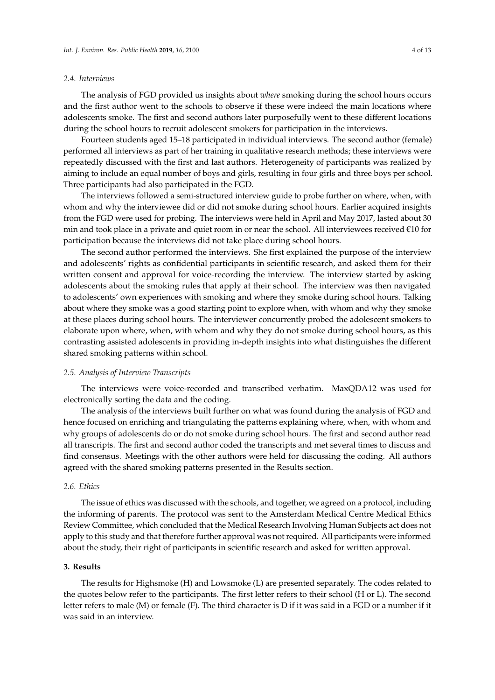#### *2.4. Interviews*

The analysis of FGD provided us insights about *where* smoking during the school hours occurs and the first author went to the schools to observe if these were indeed the main locations where adolescents smoke. The first and second authors later purposefully went to these different locations during the school hours to recruit adolescent smokers for participation in the interviews.

Fourteen students aged 15–18 participated in individual interviews. The second author (female) performed all interviews as part of her training in qualitative research methods; these interviews were repeatedly discussed with the first and last authors. Heterogeneity of participants was realized by aiming to include an equal number of boys and girls, resulting in four girls and three boys per school. Three participants had also participated in the FGD.

The interviews followed a semi-structured interview guide to probe further on where, when, with whom and why the interviewee did or did not smoke during school hours. Earlier acquired insights from the FGD were used for probing. The interviews were held in April and May 2017, lasted about 30 min and took place in a private and quiet room in or near the school. All interviewees received €10 for participation because the interviews did not take place during school hours.

The second author performed the interviews. She first explained the purpose of the interview and adolescents' rights as confidential participants in scientific research, and asked them for their written consent and approval for voice-recording the interview. The interview started by asking adolescents about the smoking rules that apply at their school. The interview was then navigated to adolescents' own experiences with smoking and where they smoke during school hours. Talking about where they smoke was a good starting point to explore when, with whom and why they smoke at these places during school hours. The interviewer concurrently probed the adolescent smokers to elaborate upon where, when, with whom and why they do not smoke during school hours, as this contrasting assisted adolescents in providing in-depth insights into what distinguishes the different shared smoking patterns within school.

#### *2.5. Analysis of Interview Transcripts*

The interviews were voice-recorded and transcribed verbatim. MaxQDA12 was used for electronically sorting the data and the coding.

The analysis of the interviews built further on what was found during the analysis of FGD and hence focused on enriching and triangulating the patterns explaining where, when, with whom and why groups of adolescents do or do not smoke during school hours. The first and second author read all transcripts. The first and second author coded the transcripts and met several times to discuss and find consensus. Meetings with the other authors were held for discussing the coding. All authors agreed with the shared smoking patterns presented in the Results section.

# *2.6. Ethics*

The issue of ethics was discussed with the schools, and together, we agreed on a protocol, including the informing of parents. The protocol was sent to the Amsterdam Medical Centre Medical Ethics Review Committee, which concluded that the Medical Research Involving Human Subjects act does not apply to this study and that therefore further approval was not required. All participants were informed about the study, their right of participants in scientific research and asked for written approval.

#### **3. Results**

The results for Highsmoke (H) and Lowsmoke (L) are presented separately. The codes related to the quotes below refer to the participants. The first letter refers to their school (H or L). The second letter refers to male (M) or female (F). The third character is D if it was said in a FGD or a number if it was said in an interview.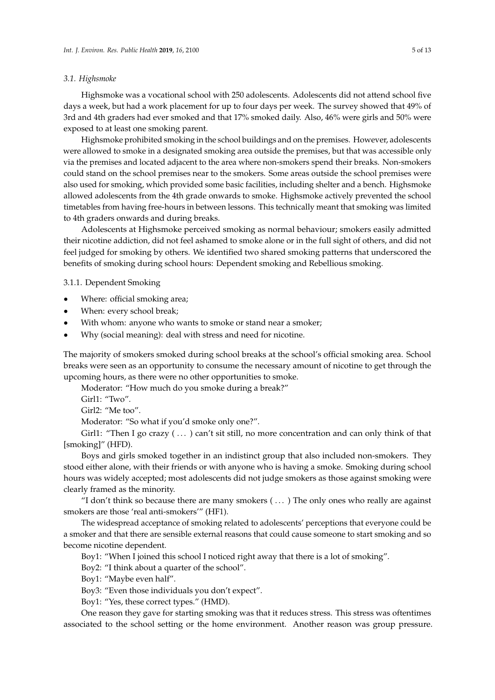#### *3.1. Highsmoke*

Highsmoke was a vocational school with 250 adolescents. Adolescents did not attend school five days a week, but had a work placement for up to four days per week. The survey showed that 49% of 3rd and 4th graders had ever smoked and that 17% smoked daily. Also, 46% were girls and 50% were exposed to at least one smoking parent.

Highsmoke prohibited smoking in the school buildings and on the premises. However, adolescents were allowed to smoke in a designated smoking area outside the premises, but that was accessible only via the premises and located adjacent to the area where non-smokers spend their breaks. Non-smokers could stand on the school premises near to the smokers. Some areas outside the school premises were also used for smoking, which provided some basic facilities, including shelter and a bench. Highsmoke allowed adolescents from the 4th grade onwards to smoke. Highsmoke actively prevented the school timetables from having free-hours in between lessons. This technically meant that smoking was limited to 4th graders onwards and during breaks.

Adolescents at Highsmoke perceived smoking as normal behaviour; smokers easily admitted their nicotine addiction, did not feel ashamed to smoke alone or in the full sight of others, and did not feel judged for smoking by others. We identified two shared smoking patterns that underscored the benefits of smoking during school hours: Dependent smoking and Rebellious smoking.

3.1.1. Dependent Smoking

- Where: official smoking area;
- When: every school break;
- With whom: anyone who wants to smoke or stand near a smoker;
- Why (social meaning): deal with stress and need for nicotine.

The majority of smokers smoked during school breaks at the school's official smoking area. School breaks were seen as an opportunity to consume the necessary amount of nicotine to get through the upcoming hours, as there were no other opportunities to smoke.

Moderator: "How much do you smoke during a break?"

Girl1: "Two".

Girl2: "Me too".

Moderator: "So what if you'd smoke only one?".

Girl1: "Then I go crazy  $(\dots)$  can't sit still, no more concentration and can only think of that [smoking]" (HFD).

Boys and girls smoked together in an indistinct group that also included non-smokers. They stood either alone, with their friends or with anyone who is having a smoke. Smoking during school hours was widely accepted; most adolescents did not judge smokers as those against smoking were clearly framed as the minority.

"I don't think so because there are many smokers  $(\ldots)$  The only ones who really are against smokers are those 'real anti-smokers'" (HF1).

The widespread acceptance of smoking related to adolescents' perceptions that everyone could be a smoker and that there are sensible external reasons that could cause someone to start smoking and so become nicotine dependent.

Boy1: "When I joined this school I noticed right away that there is a lot of smoking".

Boy2: "I think about a quarter of the school".

Boy1: "Maybe even half".

Boy3: "Even those individuals you don't expect".

Boy1: "Yes, these correct types." (HMD).

One reason they gave for starting smoking was that it reduces stress. This stress was oftentimes associated to the school setting or the home environment. Another reason was group pressure.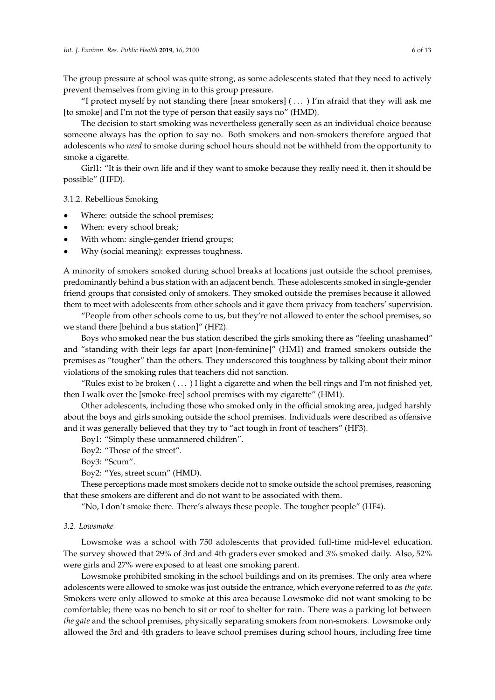The group pressure at school was quite strong, as some adolescents stated that they need to actively prevent themselves from giving in to this group pressure.

"I protect myself by not standing there [near smokers]  $(\ldots)$  I'm afraid that they will ask me [to smoke] and I'm not the type of person that easily says no" (HMD).

The decision to start smoking was nevertheless generally seen as an individual choice because someone always has the option to say no. Both smokers and non-smokers therefore argued that adolescents who *need* to smoke during school hours should not be withheld from the opportunity to smoke a cigarette.

Girl1: "It is their own life and if they want to smoke because they really need it, then it should be possible" (HFD).

3.1.2. Rebellious Smoking

- Where: outside the school premises;
- When: every school break;
- With whom: single-gender friend groups;
- Why (social meaning): expresses toughness.

A minority of smokers smoked during school breaks at locations just outside the school premises, predominantly behind a bus station with an adjacent bench. These adolescents smoked in single-gender friend groups that consisted only of smokers. They smoked outside the premises because it allowed them to meet with adolescents from other schools and it gave them privacy from teachers' supervision.

"People from other schools come to us, but they're not allowed to enter the school premises, so we stand there [behind a bus station]" (HF2).

Boys who smoked near the bus station described the girls smoking there as "feeling unashamed" and "standing with their legs far apart [non-feminine]" (HM1) and framed smokers outside the premises as "tougher" than the others. They underscored this toughness by talking about their minor violations of the smoking rules that teachers did not sanction.

"Rules exist to be broken ( . . . ) I light a cigarette and when the bell rings and I'm not finished yet, then I walk over the [smoke-free] school premises with my cigarette" (HM1).

Other adolescents, including those who smoked only in the official smoking area, judged harshly about the boys and girls smoking outside the school premises. Individuals were described as offensive and it was generally believed that they try to "act tough in front of teachers" (HF3).

Boy1: "Simply these unmannered children".

Boy2: "Those of the street".

Boy3: "Scum".

Boy2: "Yes, street scum" (HMD).

These perceptions made most smokers decide not to smoke outside the school premises, reasoning that these smokers are different and do not want to be associated with them.

"No, I don't smoke there. There's always these people. The tougher people" (HF4).

### *3.2. Lowsmoke*

Lowsmoke was a school with 750 adolescents that provided full-time mid-level education. The survey showed that 29% of 3rd and 4th graders ever smoked and 3% smoked daily. Also, 52% were girls and 27% were exposed to at least one smoking parent.

Lowsmoke prohibited smoking in the school buildings and on its premises. The only area where adolescents were allowed to smoke was just outside the entrance, which everyone referred to as *the gate*. Smokers were only allowed to smoke at this area because Lowsmoke did not want smoking to be comfortable; there was no bench to sit or roof to shelter for rain. There was a parking lot between *the gate* and the school premises, physically separating smokers from non-smokers. Lowsmoke only allowed the 3rd and 4th graders to leave school premises during school hours, including free time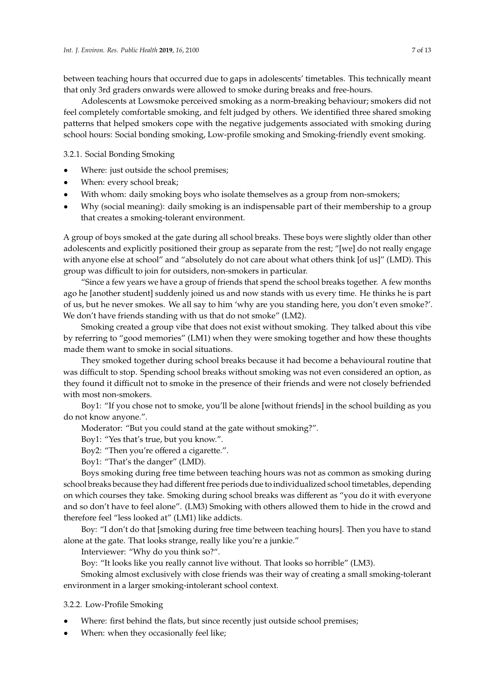between teaching hours that occurred due to gaps in adolescents' timetables. This technically meant that only 3rd graders onwards were allowed to smoke during breaks and free-hours.

Adolescents at Lowsmoke perceived smoking as a norm-breaking behaviour; smokers did not feel completely comfortable smoking, and felt judged by others. We identified three shared smoking patterns that helped smokers cope with the negative judgements associated with smoking during school hours: Social bonding smoking, Low-profile smoking and Smoking-friendly event smoking.

3.2.1. Social Bonding Smoking

- Where: just outside the school premises;
- When: every school break;
- With whom: daily smoking boys who isolate themselves as a group from non-smokers;
- Why (social meaning): daily smoking is an indispensable part of their membership to a group that creates a smoking-tolerant environment.

A group of boys smoked at the gate during all school breaks. These boys were slightly older than other adolescents and explicitly positioned their group as separate from the rest; "[we] do not really engage with anyone else at school" and "absolutely do not care about what others think [of us]" (LMD). This group was difficult to join for outsiders, non-smokers in particular.

"Since a few years we have a group of friends that spend the school breaks together. A few months ago he [another student] suddenly joined us and now stands with us every time. He thinks he is part of us, but he never smokes. We all say to him 'why are you standing here, you don't even smoke?'. We don't have friends standing with us that do not smoke" (LM2).

Smoking created a group vibe that does not exist without smoking. They talked about this vibe by referring to "good memories" (LM1) when they were smoking together and how these thoughts made them want to smoke in social situations.

They smoked together during school breaks because it had become a behavioural routine that was difficult to stop. Spending school breaks without smoking was not even considered an option, as they found it difficult not to smoke in the presence of their friends and were not closely befriended with most non-smokers.

Boy1: "If you chose not to smoke, you'll be alone [without friends] in the school building as you do not know anyone.".

Moderator: "But you could stand at the gate without smoking?".

Boy1: "Yes that's true, but you know.".

Boy2: "Then you're offered a cigarette.".

Boy1: "That's the danger" (LMD).

Boys smoking during free time between teaching hours was not as common as smoking during school breaks because they had different free periods due to individualized school timetables, depending on which courses they take. Smoking during school breaks was different as "you do it with everyone and so don't have to feel alone". (LM3) Smoking with others allowed them to hide in the crowd and therefore feel "less looked at" (LM1) like addicts.

Boy: "I don't do that [smoking during free time between teaching hours]. Then you have to stand alone at the gate. That looks strange, really like you're a junkie."

Interviewer: "Why do you think so?".

Boy: "It looks like you really cannot live without. That looks so horrible" (LM3).

Smoking almost exclusively with close friends was their way of creating a small smoking-tolerant environment in a larger smoking-intolerant school context.

3.2.2. Low-Profile Smoking

- Where: first behind the flats, but since recently just outside school premises;
- When: when they occasionally feel like;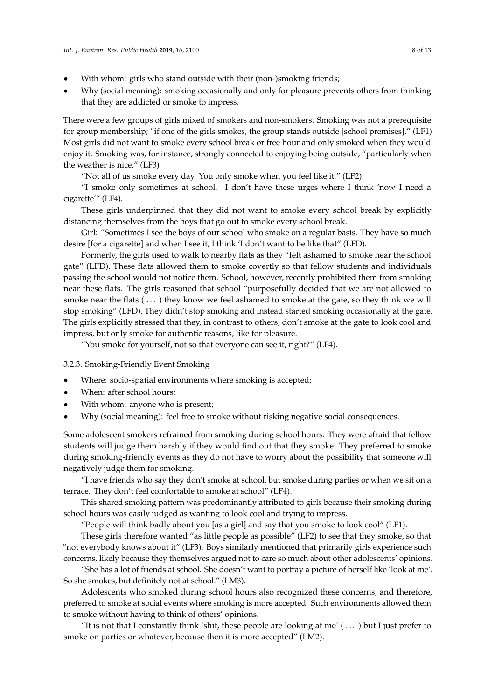- With whom: girls who stand outside with their (non-)smoking friends;
- Why (social meaning): smoking occasionally and only for pleasure prevents others from thinking that they are addicted or smoke to impress.

There were a few groups of girls mixed of smokers and non-smokers. Smoking was not a prerequisite for group membership; "if one of the girls smokes, the group stands outside [school premises]." (LF1) Most girls did not want to smoke every school break or free hour and only smoked when they would enjoy it. Smoking was, for instance, strongly connected to enjoying being outside, "particularly when the weather is nice." (LF3)

"Not all of us smoke every day. You only smoke when you feel like it." (LF2).

"I smoke only sometimes at school. I don't have these urges where I think 'now I need a cigarette'" (LF4).

These girls underpinned that they did not want to smoke every school break by explicitly distancing themselves from the boys that go out to smoke every school break.

Girl: "Sometimes I see the boys of our school who smoke on a regular basis. They have so much desire [for a cigarette] and when I see it, I think 'I don't want to be like that" (LFD).

Formerly, the girls used to walk to nearby flats as they "felt ashamed to smoke near the school gate" (LFD). These flats allowed them to smoke covertly so that fellow students and individuals passing the school would not notice them. School, however, recently prohibited them from smoking near these flats. The girls reasoned that school "purposefully decided that we are not allowed to smoke near the flats ( . . . ) they know we feel ashamed to smoke at the gate, so they think we will stop smoking" (LFD). They didn't stop smoking and instead started smoking occasionally at the gate. The girls explicitly stressed that they, in contrast to others, don't smoke at the gate to look cool and impress, but only smoke for authentic reasons, like for pleasure.

"You smoke for yourself, not so that everyone can see it, right?" (LF4).

3.2.3. Smoking-Friendly Event Smoking

- Where: socio-spatial environments where smoking is accepted;
- When: after school hours;
- With whom: anyone who is present;
- Why (social meaning): feel free to smoke without risking negative social consequences.

Some adolescent smokers refrained from smoking during school hours. They were afraid that fellow students will judge them harshly if they would find out that they smoke. They preferred to smoke during smoking-friendly events as they do not have to worry about the possibility that someone will negatively judge them for smoking.

"I have friends who say they don't smoke at school, but smoke during parties or when we sit on a terrace. They don't feel comfortable to smoke at school" (LF4).

This shared smoking pattern was predominantly attributed to girls because their smoking during school hours was easily judged as wanting to look cool and trying to impress.

"People will think badly about you [as a girl] and say that you smoke to look cool" (LF1).

These girls therefore wanted "as little people as possible" (LF2) to see that they smoke, so that "not everybody knows about it" (LF3). Boys similarly mentioned that primarily girls experience such concerns, likely because they themselves argued not to care so much about other adolescents' opinions.

"She has a lot of friends at school. She doesn't want to portray a picture of herself like 'look at me'. So she smokes, but definitely not at school." (LM3).

Adolescents who smoked during school hours also recognized these concerns, and therefore, preferred to smoke at social events where smoking is more accepted. Such environments allowed them to smoke without having to think of others' opinions.

"It is not that I constantly think 'shit, these people are looking at me'  $(\ldots)$  but I just prefer to smoke on parties or whatever, because then it is more accepted" (LM2).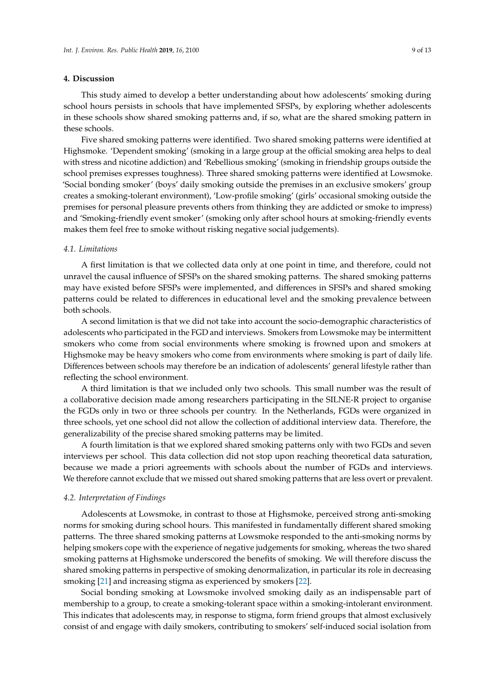#### **4. Discussion**

This study aimed to develop a better understanding about how adolescents' smoking during school hours persists in schools that have implemented SFSPs, by exploring whether adolescents in these schools show shared smoking patterns and, if so, what are the shared smoking pattern in these schools.

Five shared smoking patterns were identified. Two shared smoking patterns were identified at Highsmoke. 'Dependent smoking' (smoking in a large group at the official smoking area helps to deal with stress and nicotine addiction) and 'Rebellious smoking' (smoking in friendship groups outside the school premises expresses toughness). Three shared smoking patterns were identified at Lowsmoke. 'Social bonding smoker' (boys' daily smoking outside the premises in an exclusive smokers' group creates a smoking-tolerant environment), 'Low-profile smoking' (girls' occasional smoking outside the premises for personal pleasure prevents others from thinking they are addicted or smoke to impress) and 'Smoking-friendly event smoker' (smoking only after school hours at smoking-friendly events makes them feel free to smoke without risking negative social judgements).

#### *4.1. Limitations*

A first limitation is that we collected data only at one point in time, and therefore, could not unravel the causal influence of SFSPs on the shared smoking patterns. The shared smoking patterns may have existed before SFSPs were implemented, and differences in SFSPs and shared smoking patterns could be related to differences in educational level and the smoking prevalence between both schools.

A second limitation is that we did not take into account the socio-demographic characteristics of adolescents who participated in the FGD and interviews. Smokers from Lowsmoke may be intermittent smokers who come from social environments where smoking is frowned upon and smokers at Highsmoke may be heavy smokers who come from environments where smoking is part of daily life. Differences between schools may therefore be an indication of adolescents' general lifestyle rather than reflecting the school environment.

A third limitation is that we included only two schools. This small number was the result of a collaborative decision made among researchers participating in the SILNE-R project to organise the FGDs only in two or three schools per country. In the Netherlands, FGDs were organized in three schools, yet one school did not allow the collection of additional interview data. Therefore, the generalizability of the precise shared smoking patterns may be limited.

A fourth limitation is that we explored shared smoking patterns only with two FGDs and seven interviews per school. This data collection did not stop upon reaching theoretical data saturation, because we made a priori agreements with schools about the number of FGDs and interviews. We therefore cannot exclude that we missed out shared smoking patterns that are less overt or prevalent.

#### *4.2. Interpretation of Findings*

Adolescents at Lowsmoke, in contrast to those at Highsmoke, perceived strong anti-smoking norms for smoking during school hours. This manifested in fundamentally different shared smoking patterns. The three shared smoking patterns at Lowsmoke responded to the anti-smoking norms by helping smokers cope with the experience of negative judgements for smoking, whereas the two shared smoking patterns at Highsmoke underscored the benefits of smoking. We will therefore discuss the shared smoking patterns in perspective of smoking denormalization, in particular its role in decreasing smoking [\[21\]](#page-12-16) and increasing stigma as experienced by smokers [\[22\]](#page-12-17).

Social bonding smoking at Lowsmoke involved smoking daily as an indispensable part of membership to a group, to create a smoking-tolerant space within a smoking-intolerant environment. This indicates that adolescents may, in response to stigma, form friend groups that almost exclusively consist of and engage with daily smokers, contributing to smokers' self-induced social isolation from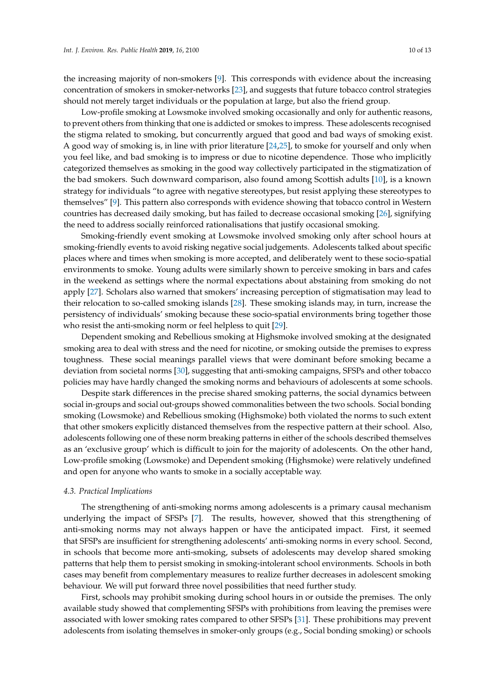the increasing majority of non-smokers [\[9\]](#page-12-4). This corresponds with evidence about the increasing concentration of smokers in smoker-networks [\[23\]](#page-12-18), and suggests that future tobacco control strategies should not merely target individuals or the population at large, but also the friend group.

Low-profile smoking at Lowsmoke involved smoking occasionally and only for authentic reasons, to prevent others from thinking that one is addicted or smokes to impress. These adolescents recognised the stigma related to smoking, but concurrently argued that good and bad ways of smoking exist. A good way of smoking is, in line with prior literature [\[24](#page-12-19)[,25\]](#page-12-20), to smoke for yourself and only when you feel like, and bad smoking is to impress or due to nicotine dependence. Those who implicitly categorized themselves as smoking in the good way collectively participated in the stigmatization of the bad smokers. Such downward comparison, also found among Scottish adults [\[10\]](#page-12-5), is a known strategy for individuals "to agree with negative stereotypes, but resist applying these stereotypes to themselves" [\[9\]](#page-12-4). This pattern also corresponds with evidence showing that tobacco control in Western countries has decreased daily smoking, but has failed to decrease occasional smoking [\[26\]](#page-12-21), signifying the need to address socially reinforced rationalisations that justify occasional smoking.

Smoking-friendly event smoking at Lowsmoke involved smoking only after school hours at smoking-friendly events to avoid risking negative social judgements. Adolescents talked about specific places where and times when smoking is more accepted, and deliberately went to these socio-spatial environments to smoke. Young adults were similarly shown to perceive smoking in bars and cafes in the weekend as settings where the normal expectations about abstaining from smoking do not apply [\[27\]](#page-12-22). Scholars also warned that smokers' increasing perception of stigmatisation may lead to their relocation to so-called smoking islands [\[28\]](#page-13-0). These smoking islands may, in turn, increase the persistency of individuals' smoking because these socio-spatial environments bring together those who resist the anti-smoking norm or feel helpless to quit [\[29\]](#page-13-1).

Dependent smoking and Rebellious smoking at Highsmoke involved smoking at the designated smoking area to deal with stress and the need for nicotine, or smoking outside the premises to express toughness. These social meanings parallel views that were dominant before smoking became a deviation from societal norms [\[30\]](#page-13-2), suggesting that anti-smoking campaigns, SFSPs and other tobacco policies may have hardly changed the smoking norms and behaviours of adolescents at some schools.

Despite stark differences in the precise shared smoking patterns, the social dynamics between social in-groups and social out-groups showed commonalities between the two schools. Social bonding smoking (Lowsmoke) and Rebellious smoking (Highsmoke) both violated the norms to such extent that other smokers explicitly distanced themselves from the respective pattern at their school. Also, adolescents following one of these norm breaking patterns in either of the schools described themselves as an 'exclusive group' which is difficult to join for the majority of adolescents. On the other hand, Low-profile smoking (Lowsmoke) and Dependent smoking (Highsmoke) were relatively undefined and open for anyone who wants to smoke in a socially acceptable way.

#### *4.3. Practical Implications*

The strengthening of anti-smoking norms among adolescents is a primary causal mechanism underlying the impact of SFSPs [\[7\]](#page-12-2). The results, however, showed that this strengthening of anti-smoking norms may not always happen or have the anticipated impact. First, it seemed that SFSPs are insufficient for strengthening adolescents' anti-smoking norms in every school. Second, in schools that become more anti-smoking, subsets of adolescents may develop shared smoking patterns that help them to persist smoking in smoking-intolerant school environments. Schools in both cases may benefit from complementary measures to realize further decreases in adolescent smoking behaviour. We will put forward three novel possibilities that need further study.

First, schools may prohibit smoking during school hours in or outside the premises. The only available study showed that complementing SFSPs with prohibitions from leaving the premises were associated with lower smoking rates compared to other SFSPs [\[31\]](#page-13-3). These prohibitions may prevent adolescents from isolating themselves in smoker-only groups (e.g., Social bonding smoking) or schools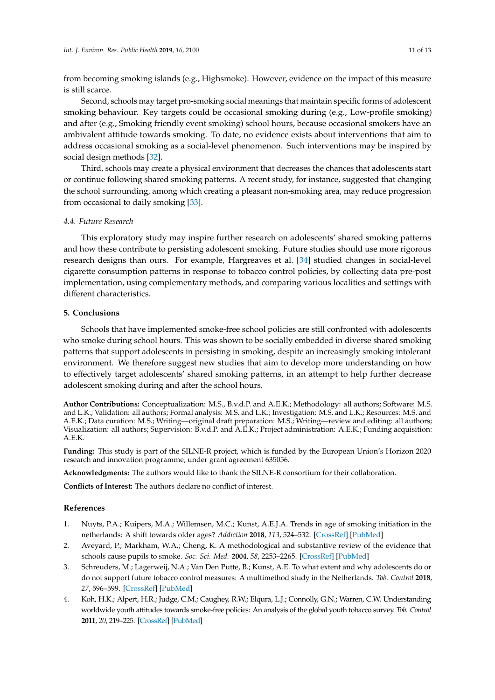from becoming smoking islands (e.g., Highsmoke). However, evidence on the impact of this measure is still scarce.

Second, schools may target pro-smoking social meanings that maintain specific forms of adolescent smoking behaviour. Key targets could be occasional smoking during (e.g., Low-profile smoking) and after (e.g., Smoking friendly event smoking) school hours, because occasional smokers have an ambivalent attitude towards smoking. To date, no evidence exists about interventions that aim to address occasional smoking as a social-level phenomenon. Such interventions may be inspired by social design methods [\[32\]](#page-13-4).

Third, schools may create a physical environment that decreases the chances that adolescents start or continue following shared smoking patterns. A recent study, for instance, suggested that changing the school surrounding, among which creating a pleasant non-smoking area, may reduce progression from occasional to daily smoking [\[33\]](#page-13-5).

#### *4.4. Future Research*

This exploratory study may inspire further research on adolescents' shared smoking patterns and how these contribute to persisting adolescent smoking. Future studies should use more rigorous research designs than ours. For example, Hargreaves et al. [\[34\]](#page-13-6) studied changes in social-level cigarette consumption patterns in response to tobacco control policies, by collecting data pre-post implementation, using complementary methods, and comparing various localities and settings with different characteristics.

# **5. Conclusions**

Schools that have implemented smoke-free school policies are still confronted with adolescents who smoke during school hours. This was shown to be socially embedded in diverse shared smoking patterns that support adolescents in persisting in smoking, despite an increasingly smoking intolerant environment. We therefore suggest new studies that aim to develop more understanding on how to effectively target adolescents' shared smoking patterns, in an attempt to help further decrease adolescent smoking during and after the school hours.

**Author Contributions:** Conceptualization: M.S., B.v.d.P. and A.E.K.; Methodology: all authors; Software: M.S. and L.K.; Validation: all authors; Formal analysis: M.S. and L.K.; Investigation: M.S. and L.K.; Resources: M.S. and A.E.K.; Data curation: M.S.; Writing—original draft preparation: M.S.; Writing—review and editing: all authors; Visualization: all authors; Supervision: B.v.d.P. and A.E.K.; Project administration: A.E.K.; Funding acquisition: A.E.K.

**Funding:** This study is part of the SILNE-R project, which is funded by the European Union's Horizon 2020 research and innovation programme, under grant agreement 635056.

**Acknowledgments:** The authors would like to thank the SILNE-R consortium for their collaboration.

**Conflicts of Interest:** The authors declare no conflict of interest.

#### **References**

- <span id="page-11-0"></span>1. Nuyts, P.A.; Kuipers, M.A.; Willemsen, M.C.; Kunst, A.E.J.A. Trends in age of smoking initiation in the netherlands: A shift towards older ages? *Addiction* **2018**, *113*, 524–532. [\[CrossRef\]](http://dx.doi.org/10.1111/add.14057) [\[PubMed\]](http://www.ncbi.nlm.nih.gov/pubmed/28987013)
- <span id="page-11-1"></span>2. Aveyard, P.; Markham, W.A.; Cheng, K. A methodological and substantive review of the evidence that schools cause pupils to smoke. *Soc. Sci. Med.* **2004**, *58*, 2253–2265. [\[CrossRef\]](http://dx.doi.org/10.1016/j.socscimed.2003.08.012) [\[PubMed\]](http://www.ncbi.nlm.nih.gov/pubmed/15047082)
- <span id="page-11-2"></span>3. Schreuders, M.; Lagerweij, N.A.; Van Den Putte, B.; Kunst, A.E. To what extent and why adolescents do or do not support future tobacco control measures: A multimethod study in the Netherlands. *Tob. Control* **2018**, *27*, 596–599. [\[CrossRef\]](http://dx.doi.org/10.1136/tobaccocontrol-2017-053770) [\[PubMed\]](http://www.ncbi.nlm.nih.gov/pubmed/28887425)
- <span id="page-11-3"></span>4. Koh, H.K.; Alpert, H.R.; Judge, C.M.; Caughey, R.W.; Elqura, L.J.; Connolly, G.N.; Warren, C.W. Understanding worldwide youth attitudes towards smoke-free policies: An analysis of the global youth tobacco survey. *Tob. Control* **2011**, *20*, 219–225. [\[CrossRef\]](http://dx.doi.org/10.1136/tc.2010.038885) [\[PubMed\]](http://www.ncbi.nlm.nih.gov/pubmed/21270072)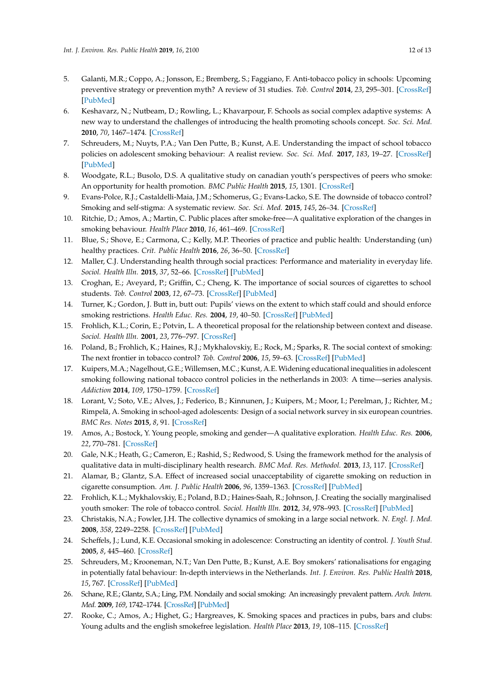- <span id="page-12-0"></span>5. Galanti, M.R.; Coppo, A.; Jonsson, E.; Bremberg, S.; Faggiano, F. Anti-tobacco policy in schools: Upcoming preventive strategy or prevention myth? A review of 31 studies. *Tob. Control* **2014**, *23*, 295–301. [\[CrossRef\]](http://dx.doi.org/10.1136/tobaccocontrol-2012-050846) [\[PubMed\]](http://www.ncbi.nlm.nih.gov/pubmed/23716172)
- <span id="page-12-1"></span>6. Keshavarz, N.; Nutbeam, D.; Rowling, L.; Khavarpour, F. Schools as social complex adaptive systems: A new way to understand the challenges of introducing the health promoting schools concept. *Soc. Sci. Med.* **2010**, *70*, 1467–1474. [\[CrossRef\]](http://dx.doi.org/10.1016/j.socscimed.2010.01.034)
- <span id="page-12-2"></span>7. Schreuders, M.; Nuyts, P.A.; Van Den Putte, B.; Kunst, A.E. Understanding the impact of school tobacco policies on adolescent smoking behaviour: A realist review. *Soc. Sci. Med.* **2017**, *183*, 19–27. [\[CrossRef\]](http://dx.doi.org/10.1016/j.socscimed.2017.04.031) [\[PubMed\]](http://www.ncbi.nlm.nih.gov/pubmed/28458071)
- <span id="page-12-3"></span>8. Woodgate, R.L.; Busolo, D.S. A qualitative study on canadian youth's perspectives of peers who smoke: An opportunity for health promotion. *BMC Public Health* **2015**, *15*, 1301. [\[CrossRef\]](http://dx.doi.org/10.1186/s12889-015-2683-4)
- <span id="page-12-4"></span>9. Evans-Polce, R.J.; Castaldelli-Maia, J.M.; Schomerus, G.; Evans-Lacko, S.E. The downside of tobacco control? Smoking and self-stigma: A systematic review. *Soc. Sci. Med.* **2015**, *145*, 26–34. [\[CrossRef\]](http://dx.doi.org/10.1016/j.socscimed.2015.09.026)
- <span id="page-12-5"></span>10. Ritchie, D.; Amos, A.; Martin, C. Public places after smoke-free—A qualitative exploration of the changes in smoking behaviour. *Health Place* **2010**, *16*, 461–469. [\[CrossRef\]](http://dx.doi.org/10.1016/j.healthplace.2009.12.003)
- <span id="page-12-6"></span>11. Blue, S.; Shove, E.; Carmona, C.; Kelly, M.P. Theories of practice and public health: Understanding (un) healthy practices. *Crit. Public Health* **2016**, *26*, 36–50. [\[CrossRef\]](http://dx.doi.org/10.1080/09581596.2014.980396)
- <span id="page-12-7"></span>12. Maller, C.J. Understanding health through social practices: Performance and materiality in everyday life. *Sociol. Health Illn.* **2015**, *37*, 52–66. [\[CrossRef\]](http://dx.doi.org/10.1111/1467-9566.12178) [\[PubMed\]](http://www.ncbi.nlm.nih.gov/pubmed/25601064)
- <span id="page-12-8"></span>13. Croghan, E.; Aveyard, P.; Griffin, C.; Cheng, K. The importance of social sources of cigarettes to school students. *Tob. Control* **2003**, *12*, 67–73. [\[CrossRef\]](http://dx.doi.org/10.1136/tc.12.1.67) [\[PubMed\]](http://www.ncbi.nlm.nih.gov/pubmed/12612365)
- <span id="page-12-9"></span>14. Turner, K.; Gordon, J. Butt in, butt out: Pupils' views on the extent to which staff could and should enforce smoking restrictions. *Health Educ. Res.* **2004**, *19*, 40–50. [\[CrossRef\]](http://dx.doi.org/10.1093/her/cyg005) [\[PubMed\]](http://www.ncbi.nlm.nih.gov/pubmed/15020544)
- <span id="page-12-10"></span>15. Frohlich, K.L.; Corin, E.; Potvin, L. A theoretical proposal for the relationship between context and disease. *Sociol. Health Illn.* **2001**, *23*, 776–797. [\[CrossRef\]](http://dx.doi.org/10.1111/1467-9566.00275)
- <span id="page-12-11"></span>16. Poland, B.; Frohlich, K.; Haines, R.J.; Mykhalovskiy, E.; Rock, M.; Sparks, R. The social context of smoking: The next frontier in tobacco control? *Tob. Control* **2006**, *15*, 59–63. [\[CrossRef\]](http://dx.doi.org/10.1136/tc.2004.009886) [\[PubMed\]](http://www.ncbi.nlm.nih.gov/pubmed/16436407)
- <span id="page-12-12"></span>17. Kuipers, M.A.; Nagelhout, G.E.; Willemsen, M.C.; Kunst, A.E. Widening educational inequalities in adolescent smoking following national tobacco control policies in the netherlands in 2003: A time—series analysis. *Addiction* **2014**, *109*, 1750–1759. [\[CrossRef\]](http://dx.doi.org/10.1111/add.12637)
- <span id="page-12-13"></span>18. Lorant, V.; Soto, V.E.; Alves, J.; Federico, B.; Kinnunen, J.; Kuipers, M.; Moor, I.; Perelman, J.; Richter, M.; Rimpelä, A. Smoking in school-aged adolescents: Design of a social network survey in six european countries. *BMC Res. Notes* **2015**, *8*, 91. [\[CrossRef\]](http://dx.doi.org/10.1186/s13104-015-1041-z)
- <span id="page-12-14"></span>19. Amos, A.; Bostock, Y. Young people, smoking and gender—A qualitative exploration. *Health Educ. Res.* **2006**, *22*, 770–781. [\[CrossRef\]](http://dx.doi.org/10.1093/her/cyl075)
- <span id="page-12-15"></span>20. Gale, N.K.; Heath, G.; Cameron, E.; Rashid, S.; Redwood, S. Using the framework method for the analysis of qualitative data in multi-disciplinary health research. *BMC Med. Res. Methodol.* **2013**, *13*, 117. [\[CrossRef\]](http://dx.doi.org/10.1186/1471-2288-13-117)
- <span id="page-12-16"></span>21. Alamar, B.; Glantz, S.A. Effect of increased social unacceptability of cigarette smoking on reduction in cigarette consumption. *Am. J. Public Health* **2006**, *96*, 1359–1363. [\[CrossRef\]](http://dx.doi.org/10.2105/AJPH.2005.069617) [\[PubMed\]](http://www.ncbi.nlm.nih.gov/pubmed/16809588)
- <span id="page-12-17"></span>22. Frohlich, K.L.; Mykhalovskiy, E.; Poland, B.D.; Haines-Saah, R.; Johnson, J. Creating the socially marginalised youth smoker: The role of tobacco control. *Sociol. Health Illn.* **2012**, *34*, 978–993. [\[CrossRef\]](http://dx.doi.org/10.1111/j.1467-9566.2011.01449.x) [\[PubMed\]](http://www.ncbi.nlm.nih.gov/pubmed/22384931)
- <span id="page-12-18"></span>23. Christakis, N.A.; Fowler, J.H. The collective dynamics of smoking in a large social network. *N. Engl. J. Med.* **2008**, *358*, 2249–2258. [\[CrossRef\]](http://dx.doi.org/10.1056/NEJMsa0706154) [\[PubMed\]](http://www.ncbi.nlm.nih.gov/pubmed/18499567)
- <span id="page-12-19"></span>24. Scheffels, J.; Lund, K.E. Occasional smoking in adolescence: Constructing an identity of control. *J. Youth Stud.* **2005**, *8*, 445–460. [\[CrossRef\]](http://dx.doi.org/10.1080/13676260500431768)
- <span id="page-12-20"></span>25. Schreuders, M.; Krooneman, N.T.; Van Den Putte, B.; Kunst, A.E. Boy smokers' rationalisations for engaging in potentially fatal behaviour: In-depth interviews in the Netherlands. *Int. J. Environ. Res. Public Health* **2018**, *15*, 767. [\[CrossRef\]](http://dx.doi.org/10.3390/ijerph15040767) [\[PubMed\]](http://www.ncbi.nlm.nih.gov/pubmed/29659521)
- <span id="page-12-21"></span>26. Schane, R.E.; Glantz, S.A.; Ling, P.M. Nondaily and social smoking: An increasingly prevalent pattern. *Arch. Intern. Med.* **2009**, *169*, 1742–1744. [\[CrossRef\]](http://dx.doi.org/10.1001/archinternmed.2009.315) [\[PubMed\]](http://www.ncbi.nlm.nih.gov/pubmed/19858429)
- <span id="page-12-22"></span>27. Rooke, C.; Amos, A.; Highet, G.; Hargreaves, K. Smoking spaces and practices in pubs, bars and clubs: Young adults and the english smokefree legislation. *Health Place* **2013**, *19*, 108–115. [\[CrossRef\]](http://dx.doi.org/10.1016/j.healthplace.2012.10.009)